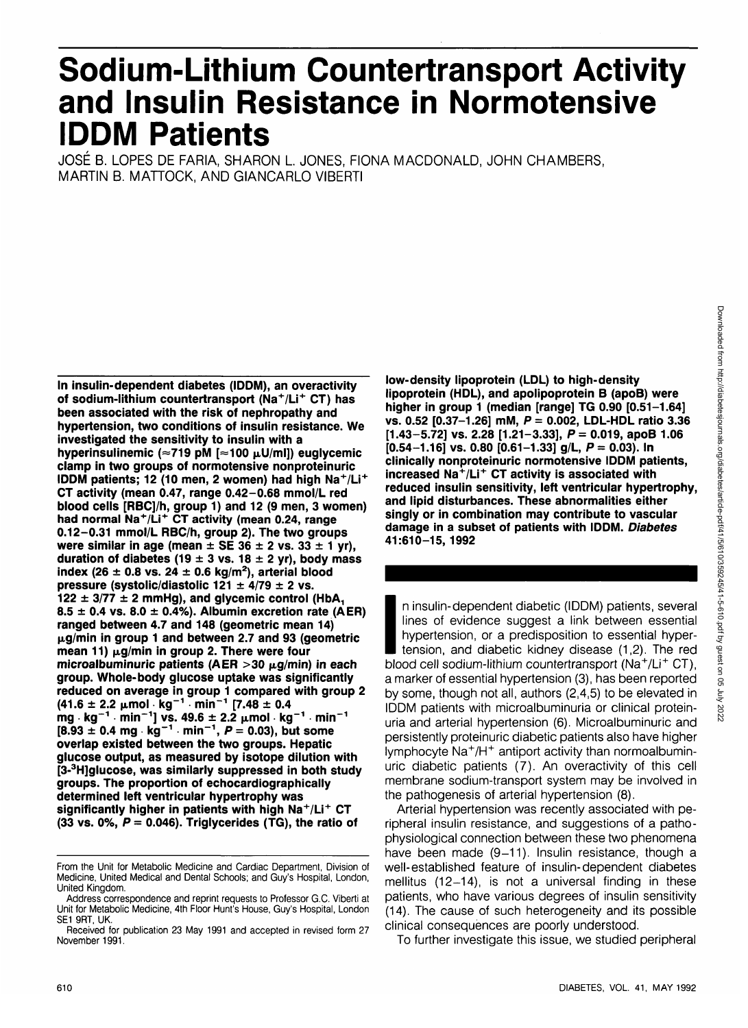# **Sodium-Lithium Countertransport Activity and Insulin Resistance in Normotensive IDDM Patients**

JOSE B. LOPES DE FARIA, SHARON L JONES, FIONA MACDONALD, JOHN CHAMBERS, MARTIN B. MATTOCK, AND GIANCARLO VIBERTI

**In insulin-dependent diabetes (IDDM), an overactivity of sodium-lithium countertransport (Na<sup>+</sup> /Li<sup>+</sup> CT) has been associated with the risk of nephropathy and hypertension, two conditions of insulin resistance. We investigated the sensitivity to insulin with a** hyperinsulinemic (≈719 pM [≈100 µU/ml]) euglycemic **clamp in two groups of normotensive nonproteinuric** IDDM patients; 12 (10 men, 2 women) had high Na<sup>+</sup>/Li<sup>+</sup> **CT activity (mean 0.47, range 0.42-0.68 mmol/L red blood cells [RBC]/h, group 1) and 12 (9 men, 3 women) had normal Na<sup>+</sup> /Li<sup>+</sup> CT activity (mean 0.24, range 0.12-0.31 mmol/L RBC/h, group 2). The two groups were similar in age (mean**  $\pm$  **SE 36**  $\pm$  **2 vs. 33**  $\pm$  **1 yr),** duration of diabetes (19  $\pm$  3 vs. 18  $\pm$  2 yr), body mass **index (26 ± 0.8 vs. 24 ± 0.6 kg/m2 ), arterial blood pressure (systolic/diastolic 121 ± 4/79 ± 2 vs.**  $122 \pm 3/77 \pm 2$  mmHg), and glycemic control (HbA<sub>1</sub> **8.5 ± 0.4 vs. 8.0 ± 0.4%). Albumin excretion rate (AER) ranged between 4.7 and 148 (geometric mean 14) ixg/min in group 1 and between 2.7 and 93 (geometric mean 11)** μg/min in group 2. There were four microalbuminuric patients (AER  $>$ 30  $\mu$ g/min) in each **group. Whole-body glucose uptake was significantly reduced on average in group 1 compared with group 2 (41.6 ± 2.2 jtmol kg"<sup>1</sup> min"<sup>1</sup> [7.48 ± 0.4 mg** • kg<sup>−1</sup> · min<sup>−1</sup>l vs. 49.6 + 2.2 µmol · kg<sup>−1</sup> · min<sup>−1</sup> **[8.93 ± 0.4 mg kg"<sup>1</sup> min"<sup>1</sup> , P = 0.03), but some overlap existed between the two groups. Hepatic glucose output, as measured by isotope dilution with [3-<sup>3</sup> H]glucose, was similarly suppressed in both study groups. The proportion of echocardiographically determined left ventricular hypertrophy was significantly higher in patients with high Na+ /Li<sup>+</sup> CT (33 vs. 0%, P = 0.046). Triglycerides (TG), the ratio of**

**low-density lipoprotein (LDL) to high-density lipoprotein (HDL), and apolipoprotein B (apoB) were higher in group 1 (median [range] TG 0.90 [0.51-1.64] vs. 0.52 [0.37-1.26] mM, P = 0.002, LDL-HDL ratio 3.36 [1.43-5.72] vs. 2.28 [1.21-3.33], P= 0.019, apoB 1.06 [0.54-1.16] vs. 0.80 [0.61-1.33] g/L, P = 0.03). In clinically nonproteinuric normotensive IDDM patients, increased Na<sup>+</sup> /Li<sup>+</sup> CT activity is associated with reduced insulin sensitivity, left ventricular hypertrophy, and lipid disturbances. These abnormalities either singly or in combination may contribute to vascular damage in a subset of patients with IDDM. Diabetes 41:610-15,1992**

 $\begin{array}{c}\n\cdot & \cdot \\
\cdot & \cdot \\
\cdot & \cdot \\
\cdot & \cdot \\
\cdot & \cdot\n\end{array}$ n insulin-dependent diabetic (IDDM) patients, several lines of evidence suggest a link between essential hypertension, or a predisposition to essential hypertension, and diabetic kidney disease (1,2). The red blood cell sodium-lithium countertransport (Na<sup>+</sup>/Li<sup>+</sup> CT), a marker of essential hypertension (3), has been reported by some, though not all, authors (2,4,5) to be elevated in IDDM patients with microalbuminuria or clinical proteinuria and arterial hypertension (6). Microalbuminuric and persistently proteinuric diabetic patients also have higher lymphocyte Na<sup>+</sup>/H<sup>+</sup> antiport activity than normoalbuminuric diabetic patients (7). An overactivity of this cell membrane sodium-transport system may be involved in the pathogenesis of arterial hypertension (8).

Arterial hypertension was recently associated with peripheral insulin resistance, and suggestions of a pathophysiological connection between these two phenomena have been made (9-11). Insulin resistance, though a well-established feature of insulin-dependent diabetes mellitus (12-14), is not a universal finding in these patients, who have various degrees of insulin sensitivity (14). The cause of such heterogeneity and its possible clinical consequences are poorly understood.

To further investigate this issue, we studied peripheral

From the Unit for Metabolic Medicine and Cardiac Department, Division of Medicine, United Medical and Dental Schools; and Guy's Hospital, London, United Kingdom.

Address correspondence and reprint requests to Professor G.C. Viberti at Unit for Metabolic Medicine, 4th Floor Hunt's House, Guy's Hospital, London SE1 9RT, UK.

Received for publication 23 May 1991 and accepted in revised form 27 November 1991.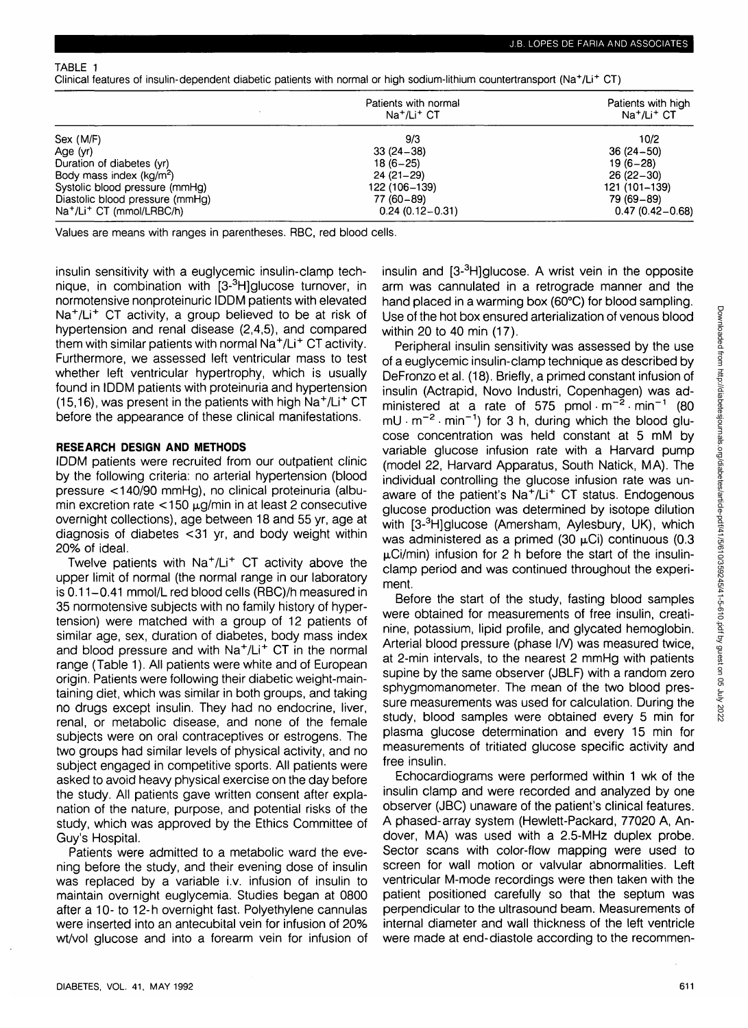TABLE 1

Clinical features of insulin-dependent diabetic patients with normal or high sodium-lithium countertransport (Na+/Li+ CT)

|                                                                                      | Patients with normal<br>$Na+/Li+$ CT | Patients with high<br>Na <sup>+</sup> /Li <sup>+</sup> CT |
|--------------------------------------------------------------------------------------|--------------------------------------|-----------------------------------------------------------|
| Sex (M/F)                                                                            | 9/3                                  | 10/2                                                      |
| Age (yr)                                                                             | $33(24-38)$                          | $36(24-50)$                                               |
| Duration of diabetes (yr)                                                            | $18(6-25)$                           | $19(6-28)$                                                |
| Body mass index $(kq/m^2)$                                                           | $24(21-29)$                          | $26(22-30)$                                               |
| Systolic blood pressure (mmHg)                                                       | 122 (106-139)                        | 121 (101-139)                                             |
| Diastolic blood pressure (mmHg)<br>Na <sup>+</sup> /Li <sup>+</sup> CT (mmol/LRBC/h) | 77 (60 - 89)<br>$0.24(0.12 - 0.31)$  | 79 (69–89)<br>$0.47(0.42 - 0.68)$                         |

Values are means with ranges in parentheses. RBC, red blood cells.

insulin sensitivity with a euglycemic insulin-clamp technique, in combination with [3-<sup>3</sup>H]glucose turnover, in normotensive nonproteinuric IDDM patients with elevated Na<sup>+</sup>/Li<sup>+</sup> CT activity, a group believed to be at risk of hypertension and renal disease (2,4,5), and compared them with similar patients with normal Na<sup>+</sup>/Li<sup>+</sup> CT activity. Furthermore, we assessed left ventricular mass to test whether left ventricular hypertrophy, which is usually found in IDDM patients with proteinuria and hypertension (15,16), was present in the patients with high Na<sup>+</sup>/Li<sup>+</sup> CT before the appearance of these clinical manifestations.

### **RESEARCH DESIGN AND METHODS**

IDDM patients were recruited from our outpatient clinic by the following criteria: no arterial hypertension (blood pressure < 140/90 mmHg), no clinical proteinuria (albumin excretion rate  $<$  150  $\mu$ g/min in at least 2 consecutive overnight collections), age between 18 and 55 yr, age at diagnosis of diabetes <31 yr, and body weight within 20% of ideal.

Twelve patients with Na<sup>+</sup>/Li<sup>+</sup> CT activity above the upper limit of normal (the normal range in our laboratory is 0.11—0.41 mmol/L red blood cells (RBC)/h measured in 35 normotensive subjects with no family history of hypertension) were matched with a group of 12 patients of similar age, sex, duration of diabetes, body mass index and blood pressure and with Na<sup>+</sup> /Li<sup>+</sup> CT in the normal range (Table 1). All patients were white and of European origin. Patients were following their diabetic weight-maintaining diet, which was similar in both groups, and taking no drugs except insulin. They had no endocrine, liver, renal, or metabolic disease, and none of the female subjects were on oral contraceptives or estrogens. The two groups had similar levels of physical activity, and no subject engaged in competitive sports. All patients were asked to avoid heavy physical exercise on the day before the study. All patients gave written consent after explanation of the nature, purpose, and potential risks of the study, which was approved by the Ethics Committee of Guy's Hospital.

Patients were admitted to a metabolic ward the evening before the study, and their evening dose of insulin was replaced by a variable i.v. infusion of insulin to maintain overnight euglycemia. Studies began at 0800 after a 10- to 12- h overnight fast. Polyethylene cannulas were inserted into an antecubital vein for infusion of 20% wt/vol glucose and into a forearm vein for infusion of

insulin and [3-<sup>3</sup>H]glucose. A wrist vein in the opposite arm was cannulated in a retrograde manner and the hand placed in a warming box (60°C) for blood sampling. Use of the hot box ensured arterialization of venous blood within 20 to 40 min (17).

Peripheral insulin sensitivity was assessed by the use of a euglycemic insulin-clamp technique as described by DeFronzo et al. (18). Briefly, a primed constant infusion of insulin (Actrapid, Novo Industri, Copenhagen) was administered at a rate of 575 pmol  $m^{-2}$  min<sup>-1</sup> (80  $mU \cdot m^{-2} \cdot min^{-1}$  for 3 h, during which the blood glucose concentration was held constant at 5 mM by variable glucose infusion rate with a Harvard pump (model 22, Harvard Apparatus, South Natick, MA). The individual controlling the glucose infusion rate was unaware of the patient's Na<sup>+</sup>/Li<sup>+</sup> CT status. Endogenous glucose production was determined by isotope dilution with [3-<sup>3</sup>H]glucose (Amersham, Aylesbury, UK), which was administered as a primed (30  $\mu$ Ci) continuous (0.3  $\mu$ Ci/min) infusion for 2 h before the start of the insulinclamp period and was continued throughout the experiment.

Before the start of the study, fasting blood samples were obtained for measurements of free insulin, creatinine, potassium, lipid profile, and glycated hemoglobin. Arterial blood pressure (phase I/V) was measured twice, at 2-min intervals, to the nearest 2 mmHg with patients supine by the same observer (JBLF) with a random zero sphygmomanometer. The mean of the two blood pressure measurements was used for calculation. During the study, blood samples were obtained every 5 min for plasma glucose determination and every 15 min for measurements of tritiated glucose specific activity and free insulin.

Echocardiograms were performed within 1 wk of the insulin clamp and were recorded and analyzed by one observer (JBC) unaware of the patient's clinical features. A phased-array system (Hewlett-Packard, 77020 A, Andover, MA) was used with a 2.5-MHz duplex probe. Sector scans with color-flow mapping were used to screen for wall motion or valvular abnormalities. Left ventricular M-mode recordings were then taken with the patient positioned carefully so that the septum was perpendicular to the ultrasound beam. Measurements of internal diameter and wall thickness of the left ventricle were made at end-diastole according to the recommen-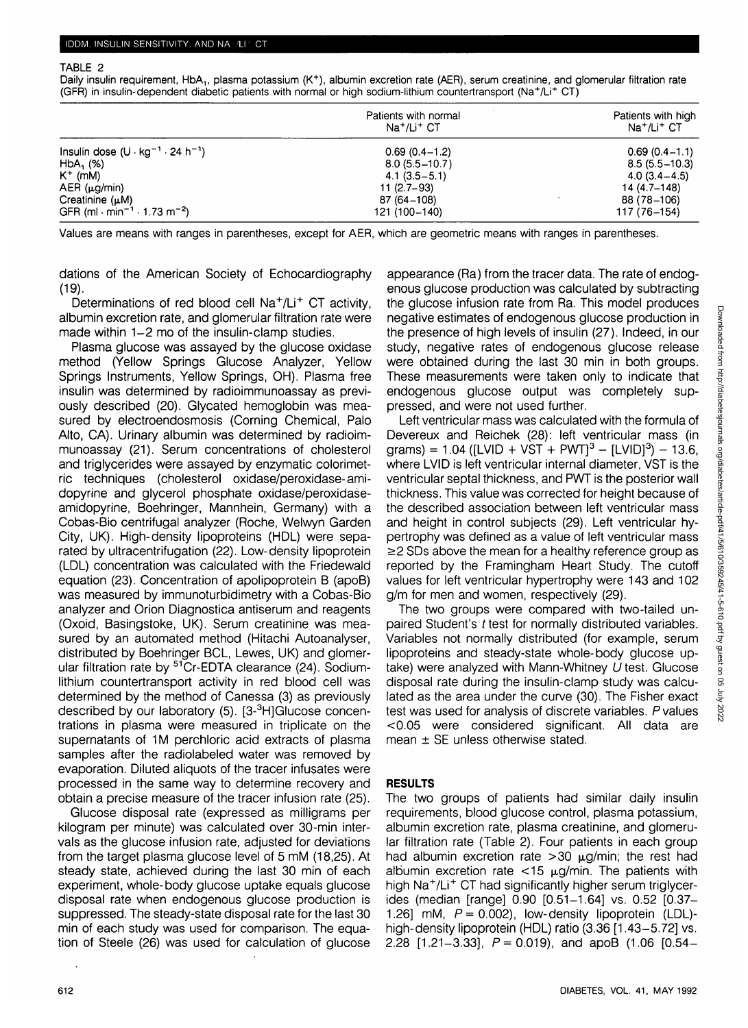#### TABLE 2

Daily insulin requirement, HbA<sub>1</sub>, plasma potassium (K<sup>+</sup>), albumin excretion rate (AER), serum creatinine, and glomerular filtration rate (GFR) in insulin-dependent diabetic patients with normal or high sodium-lithium countertransport (Na<sup>+</sup> /Li<sup>+</sup> CT)

|                                                                  | Patients with normal<br>Na <sup>+</sup> /Li <sup>+</sup> CT | Patients with high<br>Na <sup>+</sup> /Li <sup>+</sup> CT |
|------------------------------------------------------------------|-------------------------------------------------------------|-----------------------------------------------------------|
| Insulin dose $(U \cdot \text{kg}^{-1} \cdot 24 \text{ h}^{-1})$  | $0.69(0.4-1.2)$                                             | $0.69(0.4-1.1)$                                           |
| $HbA$ , $(%)$                                                    | $8.0(5.5 - 10.7)$                                           | $8.5(5.5 - 10.3)$                                         |
| $K^+$ (mM)                                                       | $4.1(3.5-5.1)$                                              | $4.0(3.4 - 4.5)$                                          |
| $AER (\mu g/min)$                                                | $11(2.7-93)$                                                | 14 (4.7–148)                                              |
| Creatinine $(\mu M)$                                             | 87 (64–108)                                                 | 88 (78–106)                                               |
| GFR (ml $\cdot$ min <sup>-1</sup> $\cdot$ 1.73 m <sup>-2</sup> ) | 121 (100-140)                                               | 117 (76–154)                                              |

Values are means with ranges in parentheses, except for AER, which are geometric means with ranges in parentheses.

dations of the American Society of Echocardiography (19).

Determinations of red blood cell Na<sup>+</sup>/Li<sup>+</sup> CT activity, albumin excretion rate, and glomerular filtration rate were made within 1-2 mo of the insulin-clamp studies.

Plasma glucose was assayed by the glucose oxidase method (Yellow Springs Glucose Analyzer, Yellow Springs Instruments, Yellow Springs, OH). Plasma free insulin was determined by radioimmunoassay as previously described (20). Glycated hemoglobin was measured by electroendosmosis (Corning Chemical, Palo Alto, CA). Urinary albumin was determined by radioimmunoassay (21). Serum concentrations of cholesterol and triglycerides were assayed by enzymatic colorimetric techniques (cholesterol oxidase/peroxidase-amidopyrine and glycerol phosphate oxidase/peroxidaseamidopyrine, Boehringer, Mannhein, Germany) with a Cobas-Bio centrifugal analyzer (Roche, Welwyn Garden City, UK). High-density lipoproteins (HDL) were separated by ultracentrifugation (22). Low-density lipoprotein (LDL) concentration was calculated with the Friedewald equation (23). Concentration of apolipoprotein B (apoB) was measured by immunoturbidimetry with a Cobas-Bio analyzer and Orion Diagnostica antiserum and reagents (Oxoid, Basingstoke, UK). Serum creatinine was measured by an automated method (Hitachi Autoanalyser, distributed by Boehringer BCL, Lewes, UK) and glomerular filtration rate by <sup>51</sup>Cr-EDTA clearance (24). Sodiumlithium countertransport activity in red blood cell was determined by the method of Canessa (3) as previously described by our laboratory (5). [3-3 H]Glucose concentrations in plasma were measured in triplicate on the supernatants of 1M perchloric acid extracts of plasma samples after the radiolabeled water was removed by evaporation. Diluted aliquots of the tracer infusates were processed in the same way to determine recovery and obtain a precise measure of the tracer infusion rate (25).

Glucose disposal rate (expressed as milligrams per kilogram per minute) was calculated over 30-min intervals as the glucose infusion rate, adjusted for deviations from the target plasma glucose level of 5 mM (18,25). At steady state, achieved during the last 30 min of each experiment, whole-body glucose uptake equals glucose disposal rate when endogenous glucose production is suppressed. The steady-state disposal rate for the last 30 min of each study was used for comparison. The equation of Steele (26) was used for calculation of glucose appearance (Ra) from the tracer data. The rate of endogenous glucose production was calculated by subtracting the glucose infusion rate from Ra. This model produces negative estimates of endogenous glucose production in the presence of high levels of insulin (27). Indeed, in our study, negative rates of endogenous glucose release were obtained during the last 30 min in both groups. These measurements were taken only to indicate that endogenous glucose output was completely suppressed, and were not used further.

Left ventricular mass was calculated with the formula of Devereux and Reichek (28): left ventricular mass (in grams) = 1.04 ([LVID + VST + PWT]<sup>3</sup> – [LVID]<sup>3</sup>) – 13.6, where LVID is left ventricular internal diameter, VST is the ventricular septal thickness, and PWT is the posterior wall thickness. This value was corrected for height because of the described association between left ventricular mass and height in control subjects (29). Left ventricular hypertrophy was defined as a value of left ventricular mass  $\geq$  2 SDs above the mean for a healthy reference group as reported by the Framingham Heart Study. The cutoff values for left ventricular hypertrophy were 143 and 102 g/m for men and women, respectively (29).

The two groups were compared with two-tailed unpaired Student's t test for normally distributed variables. Variables not normally distributed (for example, serum lipoproteins and steady-state whole-body glucose uptake) were analyzed with Mann-Whitney U test. Glucose disposal rate during the insulin-clamp study was calculated as the area under the curve (30). The Fisher exact test was used for analysis of discrete variables. P values <0.05 were considered significant. All data are mean  $\pm$  SE unless otherwise stated.

#### **RESULTS**

The two groups of patients had similar daily insulin requirements, blood glucose control, plasma potassium, albumin excretion rate, plasma creatinine, and glomerular filtration rate (Table 2). Four patients in each group had albumin excretion rate  $>30 \mu$ g/min; the rest had albumin excretion rate  $<$ 15  $\mu$ g/min. The patients with high Na<sup>+</sup> /Li<sup>+</sup> CT had significantly higher serum triglycerides (median [range] 0.90 [0.51-1.64] vs. 0.52 [0.37-1.26] mM,  $P = 0.002$ , low-density lipoprotein (LDL)high-density lipoprotein (HDL) ratio (3.36 [1.43-5.72] vs. 2.28  $[1.21-3.33]$ ,  $P = 0.019$ , and apoB (1.06  $[0.54-$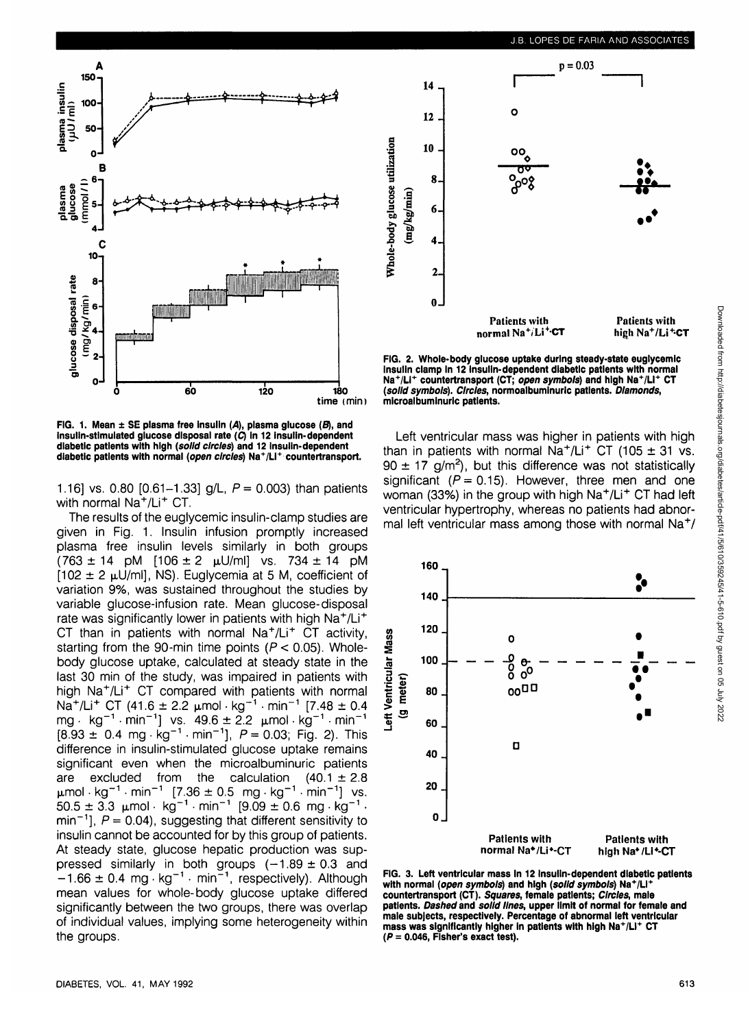

**FIG. 1. Mean ± SE plasma free Insulin (A), plasma glucose (fl), and Insulin-stimulated glucose disposal rate (C) In 12 Insulin-dependent diabetic patients with high (solid circles) and 12 Insulin-dependent diabetic patients with normal (open circles) Na<sup>+</sup> /Li<sup>+</sup> countertransport.**

1.16] vs. 0.80  $[0.61-1.33]$  g/L,  $P = 0.003$ ) than patients with normal Na<sup>+</sup>/Li<sup>+</sup> CT.

The results of the euglycemic insulin-clamp studies are given in Fig. 1. Insulin infusion promptly increased plasma free insulin levels similarly in both groups  $(763 \pm 14 \text{ pM}$   $[106 \pm 2 \text{ μU/ml}]$  vs.  $734 \pm 14 \text{ pM}$  $[102 \pm 2 \mu U/m]$ , NS). Euglycemia at 5 M, coefficient of variation 9%, was sustained throughout the studies by variable glucose-infusion rate. Mean glucose-disposal rate was significantly lower in patients with high Na<sup>+</sup>/Li<sup>+</sup> CT than in patients with normal  $\text{Na}^+/\text{Li}^+$  CT activity, starting from the 90-min time points ( $P < 0.05$ ). Wholebody glucose uptake, calculated at steady state in the last 30 min of the study, was impaired in patients with high Na<sup>+</sup> /Li<sup>+</sup> CT compared with patients with normal mg. That yet it can be more than patients with homing.<br>Na<sup>+</sup>/Li<sup>+</sup> CT (41.6 ± 2.2 umol · kg<sup>-1</sup> · min<sup>-1</sup> [7.48 ± 0.4 mg · kg<sup>-1</sup> · min<sup>-1</sup>1 vs. 49.6 ± 2.2  $\mu$ mol · kg<sup>-1</sup> · min<sup>-1</sup>  $[8.93 \pm 0.4 \text{ m}^2 \text{ m}^3 \cdot \text{m}^3 \cdot \text{m}^3]$ .  $P = 0.03$ ; Fig. 2). This difference in insulin-stimulated glucose uptake remains significant even when the microalbuminuric patients are excluded from the calculation  $(40.1 \pm 2.8)$  $\mu$ mol·kg<sup>-1</sup>·min<sup>-1</sup> [7.36 ± 0.5 mg·kg<sup>-1</sup>·min<sup>-1</sup>] vs.<br>50.5 ± 3.3 umol·kg<sup>-1</sup> min<sup>-1</sup> [9.09 ± 0.6 mg·kg<sup>-1</sup>  $50.5 \pm 3.3 \text{ \ \mu mol} \cdot \text{ kg}^{-1} \cdot \text{min}^{-1}$   $[9.09 \pm 0.6 \text{ \text{ mg} \cdot \text{kg}^{-1}]}$ min<sup>-1</sup>],  $P = 0.04$ ), suggesting that different sensitivity to insulin cannot be accounted for by this group of patients. At steady state, glucose hepatic production was suppressed similarly in both groups  $(-1.89 \pm 0.3$  and  $-1.66 \pm 0.4$  mg · kg<sup>-1</sup> · min<sup>-1</sup>, respectively). Although mean values for whole-body glucose uptake differed significantly between the two groups, there was overlap of individual values, implying some heterogeneity within the groups.



**FIG. 2. Whole-body glucose uptake during steady-state euglycemic Insulin clamp In 12 Insulin-dependent diabetic patients with normal Na<sup>+</sup> /LI<sup>+</sup> countertransport (CT; open symbols) and high Na<sup>+</sup> /LI<sup>+</sup> CT (solid symbols). Circles, normoalbuminuric patients. Diamonds, microalbuminuric patients.**

Left ventricular mass was higher in patients with high than in patients with normal  $Na^+/Li^+$  CT (105  $\pm$  31 vs.  $90 \pm 17$  g/m<sup>2</sup>), but this difference was not statistically significant ( $P = 0.15$ ). However, three men and one woman (33%) in the group with high Na<sup>+</sup>/Li<sup>+</sup> CT had left ventricular hypertrophy, whereas no patients had abnormal left ventricular mass among those with normal Na<sup>+</sup>/



**FIG. 3. Left ventricular mass In 12 Insulin-dependent diabetic patients with normal (open symbols) and high (solid symbols) Na+/LI+ countertransport (CT). Squares, female patients; Circles, male patients. Dashed and solid lines, upper limit of normal for female and male subjects, respectively. Percentage of abnormal left ventricular mass was significantly higher in patients with high Na+ /LI<sup>+</sup> CT (P = 0.046, Fisher's exact test).**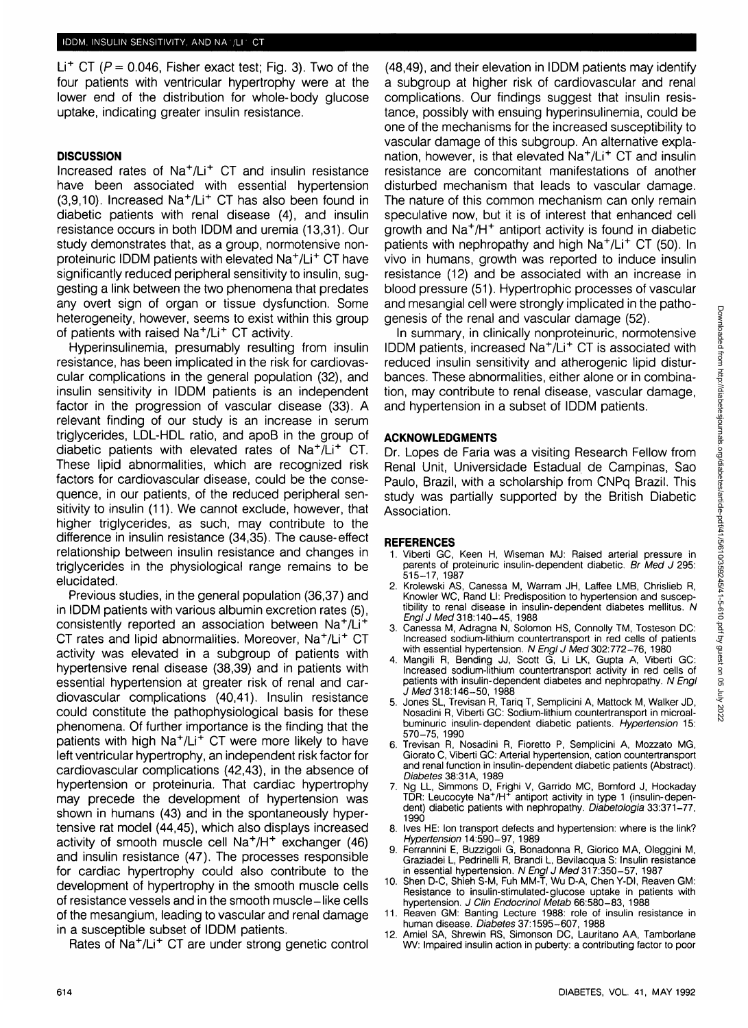Li<sup>+</sup> CT ( $P = 0.046$ , Fisher exact test; Fig. 3). Two of the four patients with ventricular hypertrophy were at the lower end of the distribution for whole-body glucose uptake, indicating greater insulin resistance.

## **DISCUSSION**

Increased rates of Na<sup>+</sup>/Li<sup>+</sup> CT and insulin resistance have been associated with essential hypertension (3,9,10). Increased Na<sup>+</sup>/Li<sup>+</sup> CT has also been found in diabetic patients with renal disease (4), and insulin resistance occurs in both IDDM and uremia (13,31). Our study demonstrates that, as a group, normotensive nonproteinuric IDDM patients with elevated Na<sup>+</sup>/Li<sup>+</sup> CT have significantly reduced peripheral sensitivity to insulin, suggesting a link between the two phenomena that predates any overt sign of organ or tissue dysfunction. Some heterogeneity, however, seems to exist within this group of patients with raised Na<sup>+</sup> /Li<sup>+</sup> CT activity.

Hyperinsulinemia, presumably resulting from insulin resistance, has been implicated in the risk for cardiovascular complications in the general population (32), and insulin sensitivity in IDDM patients is an independent factor in the progression of vascular disease (33). A relevant finding of our study is an increase in serum triglycerides, LDL-HDL ratio, and apoB in the group of diabetic patients with elevated rates of Na<sup>+</sup>/Li<sup>+</sup> CT. These lipid abnormalities, which are recognized risk factors for cardiovascular disease, could be the consequence, in our patients, of the reduced peripheral sensitivity to insulin (11). We cannot exclude, however, that higher triglycerides, as such, may contribute to the difference in insulin resistance (34,35). The cause-effect relationship between insulin resistance and changes in triglycerides in the physiological range remains to be elucidated.

Previous studies, in the general population (36,37) and in IDDM patients with various albumin excretion rates (5), consistently reported an association between Na<sup>+</sup>/Li<sup>+</sup> CT rates and lipid abnormalities. Moreover, Na<sup>+</sup>/Li<sup>+</sup> CT activity was elevated in a subgroup of patients with hypertensive renal disease (38,39) and in patients with essential hypertension at greater risk of renal and cardiovascular complications (40,41). Insulin resistance could constitute the pathophysiological basis for these phenomena. Of further importance is the finding that the patients with high Na<sup>+</sup>/Li<sup>+</sup> CT were more likely to have left ventricular hypertrophy, an independent risk factor for cardiovascular complications (42,43), in the absence of hypertension or proteinuria. That cardiac hypertrophy may precede the development of hypertension was shown in humans (43) and in the spontaneously hypertensive rat model (44,45), which also displays increased activity of smooth muscle cell Na<sup>+</sup>/H<sup>+</sup> exchanger (46) and insulin resistance (47). The processes responsible for cardiac hypertrophy could also contribute to the development of hypertrophy in the smooth muscle cells of resistance vessels and in the smooth muscle-like cells of the mesangium, leading to vascular and renal damage in a susceptible subset of IDDM patients.

Rates of Na<sup>+</sup>/Li<sup>+</sup> CT are under strong genetic control

(48,49), and their elevation in IDDM patients may identify a subgroup at higher risk of cardiovascular and renal complications. Our findings suggest that insulin resistance, possibly with ensuing hyperinsulinemia, could be one of the mechanisms for the increased susceptibility to vascular damage of this subgroup. An alternative explanation, however, is that elevated Na<sup>+</sup>/Li<sup>+</sup> CT and insulin resistance are concomitant manifestations of another disturbed mechanism that leads to vascular damage. The nature of this common mechanism can only remain speculative now, but it is of interest that enhanced cell growth and Na<sup>+</sup> /H<sup>+</sup> antiport activity is found in diabetic patients with nephropathy and high Na<sup>+</sup> /Li<sup>+</sup> CT (50). In vivo in humans, growth was reported to induce insulin resistance (12) and be associated with an increase in blood pressure (51). Hypertrophic processes of vascular and mesangial cell were strongly implicated in the pathogenesis of the renal and vascular damage (52).

In summary, in clinically nonproteinuric, normotensive IDDM patients, increased Na<sup>+</sup>/Li<sup>+</sup> CT is associated with reduced insulin sensitivity and atherogenic lipid disturbances. These abnormalities, either alone or in combination, may contribute to renal disease, vascular damage, and hypertension in a subset of IDDM patients.

## **ACKNOWLEDGMENTS**

Dr. Lopes de Faria was a visiting Research Fellow from Renal Unit, Universidade Estadual de Campinas, Sao Paulo, Brazil, with a scholarship from CNPq Brazil. This study was partially supported by the British Diabetic Association.

## **REFERENCES**

- 1. Viberti GC, Keen H, Wiseman MJ: Raised arterial pressure in parents of proteinuric insulin-dependent diabetic. Br Med J 295: 515-17, 1987
- 2. Krolewski AS, Canessa M, Warram JH, Laffee LMB, Chrislieb R, Knowler WC, Rand LI: Predisposition to hypertension and susceptibility to renal disease in insulin-dependent diabetes mellitus. N Engl J Med 318:140–45, 1988
- 3. Canessa M, Adragna N, Solomon HS, Connolly TM, Tosteson DC: Increased sodium-lithium countertransport in red cells of patients with essential hypertension. N Engl J Med 302:772-76, 1980
- 4. Mangili R, Bending JJ, Scott G, Li LK, Gupta A, Viberti GC: Increased sodium-lithium countertransport activity in red cells of patients with insulin-dependent diabetes and nephropathy. N Engl J Med 318:146-50, 1988
- 5. Jones SL, Trevisan R, Tariq T, Semplicini A, Mattock M, Walker JD, Nosadini R, Viberti GC: Sodium-lithium countertransport in microalbuminuric insulin-dependent diabetic patients. Hypertension 15: 570-75, 1990
- 6. Trevisan R, Nosadini R, Fioretto P, Semplicini A, Mozzato MG, Giorato C, Viberti GC: Arterial hypertension, cation countertransport and renal function in insulin-dependent diabetic patients (Abstract). Diabetes 38:31A, 1989
- 7. Ng LL, Simmons D, Frighi V, Garrido MC, Bomford J, Hockaday TDR: Leucocyte Na<sup>+</sup> /H<sup>+</sup> antiport activity in type 1 (insulin-dependent) diabetic patients with nephropathy. Diabetologia 33:371-77, 1990
- Ives HE: Ion transport defects and hypertension: where is the link? Hypertension 14:590-97, 1989
- 9. Ferrannini E, Buzzigoli G, Bonadonna R, Giorico MA, Oleggini M, Graziadei L, Pedrinelli R, Brandi L, Bevilacqua S: Insuiin resistance in essential hypertension. N Engl J Med 317:350-57, 1987
- 10. Shen D-C, Shieh S-M, Fuh MM-T, Wu D-A, Chen Y-DI, Reaven GM: Resistance to insulin-stimulated-glucose uptake in patients with hypertension. J Clin Endocrinol Metab 66:580-83, 1988
- 11. Reaven GM: Banting Lecture 1988: role of insulin resistance in human disease. Diabetes 37:1595-607, 1988
- 12. Amiel SA, Shrewin RS, Simonson DC, Lauritano AA, Tamborlane WV: Impaired insulin action in puberty: a contributing factor to poor